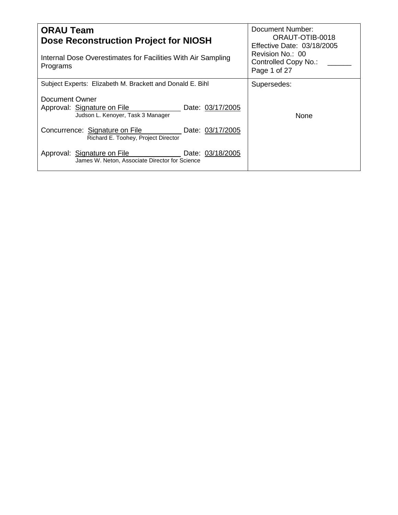| <b>ORAU Team</b><br>Dose Reconstruction Project for NIOSH<br>Internal Dose Overestimates for Facilities With Air Sampling<br>Programs | Document Number:<br>ORAUT-OTIB-0018<br>Effective Date: 03/18/2005<br>Revision No.: 00<br>Controlled Copy No.:<br>Page 1 of 27 |
|---------------------------------------------------------------------------------------------------------------------------------------|-------------------------------------------------------------------------------------------------------------------------------|
| Subject Experts: Elizabeth M. Brackett and Donald E. Bihl                                                                             | Supersedes:                                                                                                                   |
| Document Owner<br>Approval: Signature on File<br>Date: 03/17/2005<br>Judson L. Kenoyer, Task 3 Manager                                | <b>None</b>                                                                                                                   |
| Concurrence: Signature on File<br>Date: 03/17/2005<br>Richard E. Toohey, Project Director                                             |                                                                                                                               |
| Date: 03/18/2005<br>Approval: Signature on File<br>James W. Neton, Associate Director for Science                                     |                                                                                                                               |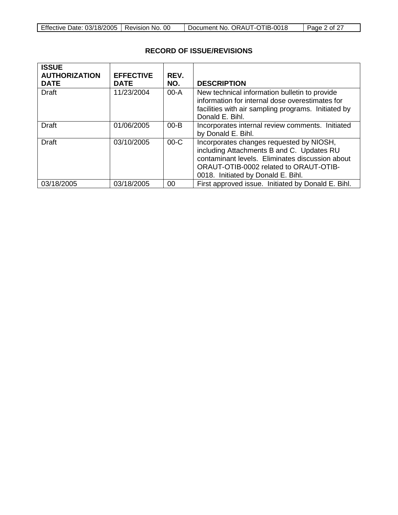|  | Effective Date: 03/18/2005   Revision No. 00 |  | Document No. ORAUT-OTIB-0018 | Page 2 of 27 |
|--|----------------------------------------------|--|------------------------------|--------------|
|--|----------------------------------------------|--|------------------------------|--------------|

| <b>ISSUE</b><br><b>AUTHORIZATION</b> | <b>EFFECTIVE</b> | REV.     |                                                                                                                                                                                                                          |
|--------------------------------------|------------------|----------|--------------------------------------------------------------------------------------------------------------------------------------------------------------------------------------------------------------------------|
| <b>DATE</b>                          | <b>DATE</b>      | NO.      | <b>DESCRIPTION</b>                                                                                                                                                                                                       |
| <b>Draft</b>                         | 11/23/2004       | 00-A     | New technical information bulletin to provide<br>information for internal dose overestimates for<br>facilities with air sampling programs. Initiated by<br>Donald E. Bihl.                                               |
| Draft                                | 01/06/2005       | $00 - B$ | Incorporates internal review comments. Initiated<br>by Donald E. Bihl.                                                                                                                                                   |
| Draft                                | 03/10/2005       | $00-C$   | Incorporates changes requested by NIOSH,<br>including Attachments B and C. Updates RU<br>contaminant levels. Eliminates discussion about<br>ORAUT-OTIB-0002 related to ORAUT-OTIB-<br>0018. Initiated by Donald E. Bihl. |
| 03/18/2005                           | 03/18/2005       | 00       | First approved issue. Initiated by Donald E. Bihl.                                                                                                                                                                       |

# **RECORD OF ISSUE/REVISIONS**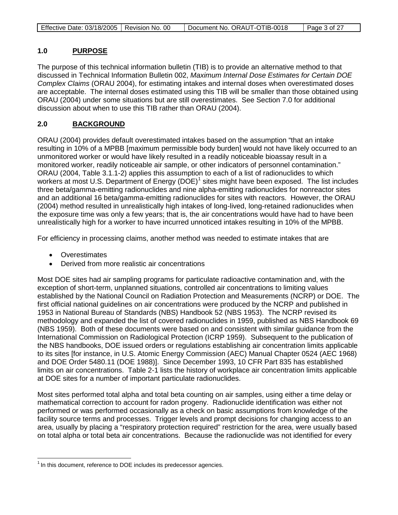| Page 3 of 27 |
|--------------|
|--------------|

#### **1.0 PURPOSE**

The purpose of this technical information bulletin (TIB) is to provide an alternative method to that discussed in Technical Information Bulletin 002, *Maximum Internal Dose Estimates for Certain DOE Complex Claims* (ORAU 2004), for estimating intakes and internal doses when overestimated doses are acceptable. The internal doses estimated using this TIB will be smaller than those obtained using ORAU (2004) under some situations but are still overestimates. See Section 7.0 for additional discussion about when to use this TIB rather than ORAU (2004).

#### **2.0 BACKGROUND**

ORAU (2004) provides default overestimated intakes based on the assumption "that an intake resulting in 10% of a MPBB [maximum permissible body burden] would not have likely occurred to an unmonitored worker or would have likely resulted in a readily noticeable bioassay result in a monitored worker, readily noticeable air sample, or other indicators of personnel contamination." ORAU (2004, Table 3.1.1-2) applies this assumption to each of a list of radionuclides to which workers at most U.S. Department of Energy (DOE)<sup>[1](#page-2-0)</sup> sites might have been exposed. The list includes three beta/gamma-emitting radionuclides and nine alpha-emitting radionuclides for nonreactor sites and an additional 16 beta/gamma-emitting radionuclides for sites with reactors. However, the ORAU (2004) method resulted in unrealistically high intakes of long-lived, long-retained radionuclides when the exposure time was only a few years; that is, the air concentrations would have had to have been unrealistically high for a worker to have incurred unnoticed intakes resulting in 10% of the MPBB.

For efficiency in processing claims, another method was needed to estimate intakes that are

- Overestimates
- Derived from more realistic air concentrations

Most DOE sites had air sampling programs for particulate radioactive contamination and, with the exception of short-term, unplanned situations, controlled air concentrations to limiting values established by the National Council on Radiation Protection and Measurements (NCRP) or DOE. The first official national guidelines on air concentrations were produced by the NCRP and published in 1953 in National Bureau of Standards (NBS) Handbook 52 (NBS 1953). The NCRP revised its methodology and expanded the list of covered radionuclides in 1959, published as NBS Handbook 69 (NBS 1959). Both of these documents were based on and consistent with similar guidance from the International Commission on Radiological Protection (ICRP 1959). Subsequent to the publication of the NBS handbooks, DOE issued orders or regulations establishing air concentration limits applicable to its sites [for instance, in U.S. Atomic Energy Commission (AEC) Manual Chapter 0524 (AEC 1968) and DOE Order 5480.11 (DOE 1988)]. Since December 1993, 10 CFR Part 835 has established limits on air concentrations. Table 2-1 lists the history of workplace air concentration limits applicable at DOE sites for a number of important particulate radionuclides.

Most sites performed total alpha and total beta counting on air samples, using either a time delay or mathematical correction to account for radon progeny. Radionuclide identification was either not performed or was performed occasionally as a check on basic assumptions from knowledge of the facility source terms and processes. Trigger levels and prompt decisions for changing access to an area, usually by placing a "respiratory protection required" restriction for the area, were usually based on total alpha or total beta air concentrations. Because the radionuclide was not identified for every

<span id="page-2-0"></span> $1$  In this document, reference to DOE includes its predecessor agencies.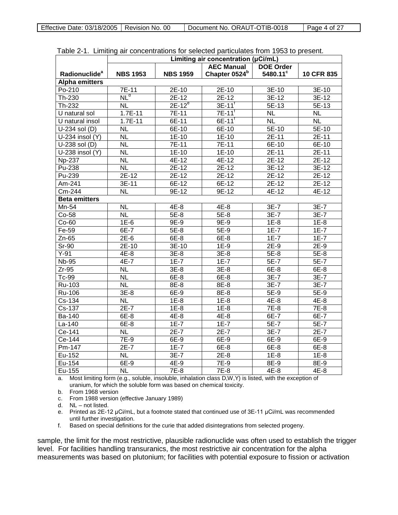|                           | Limiting air concentration (µCi/mL) |                 |                           |                  |                     |  |
|---------------------------|-------------------------------------|-----------------|---------------------------|------------------|---------------------|--|
|                           |                                     |                 | <b>AEC Manual</b>         | <b>DOE Order</b> |                     |  |
| Radionuclide <sup>a</sup> | <b>NBS 1953</b>                     | <b>NBS 1959</b> | Chapter 0524 <sup>b</sup> | 5480.11°         | 10 CFR 835          |  |
| <b>Alpha emitters</b>     |                                     |                 |                           |                  |                     |  |
| Po-210                    | 7E-11                               | 2E-10           | 2E-10                     | 3E-10            | 3E-10               |  |
| Th-230                    | NL <sup>d</sup>                     | $2E-12$         | $2E-12$                   | $3E-12$          | $3E-12$             |  |
| Th-232                    | <b>NL</b>                           | $2E-12^e$       | $3E-11$ <sup>t</sup>      | 5E-13            | 5E-13               |  |
| U natural sol             | $1.7E-11$                           | 7E-11           | $7E-11$ <sup>t</sup>      | <b>NL</b>        | <b>NL</b>           |  |
| U natural insol           | $1.7E-11$                           | 6E-11           | $6E-11$ <sup>T</sup>      | <b>NL</b>        | <b>NL</b>           |  |
| U-234 sol (D)             | <b>NL</b>                           | 6E-10           | $6E-10$                   | 5E-10            | $5E-10$             |  |
| U-234 insol (Y)           | <b>NL</b>                           | $1E-10$         | $1E-10$                   | 2E-11            | $2E-11$             |  |
| $U-238$ sol (D)           | <b>NL</b>                           | $7E-11$         | $7E-11$                   | $6E-10$          | $6E-10$             |  |
| $U-238$ insol (Y)         | $\overline{\mathsf{NL}}$            | $1E-10$         | $1E-10$                   | 2E-11            | 2E-11               |  |
| <b>Np-237</b>             | <b>NL</b>                           | 4E-12           | 4E-12                     | 2E-12            | 2E-12               |  |
| Pu-238                    | $\overline{\mathsf{NL}}$            | $2E-12$         | $2E-12$                   | $3E-12$          | $3E-12$             |  |
| Pu-239                    | $2E-12$                             | $2E-12$         | $2E-12$                   | $2E-12$          | $2E-12$             |  |
| Am-241                    | 3E-11                               | 6E-12           | 6E-12                     | 2E-12            | 2E-12               |  |
| Cm-244                    | $\overline{\mathsf{NL}}$            | $9E-12$         | $9E-12$                   | $4E-12$          | $4E-12$             |  |
| <b>Beta emitters</b>      |                                     |                 |                           |                  |                     |  |
| Mn-54                     | <b>NL</b>                           | 4E-8            | 4E-8                      | 3E-7             | 3E-7                |  |
| Co-58                     | $\overline{\mathsf{NL}}$            | $5E-8$          | $5E-8$                    | $3E-7$           | $\overline{3E} - 7$ |  |
| $Co-60$                   | $1E-6$                              | 9E-9            | $9E-9$                    | $1E-8$           | $1E-8$              |  |
| Fe-59                     | 6E-7                                | 5E-8            | 5E-9                      | $1E-7$           | $1E-7$              |  |
| $Zn-65$                   | $2E-6$                              | $6E-8$          | $6E-8$                    | $1E-7$           | $1E-7$              |  |
| Sr-90                     | 2E-10                               | $3E-10$         | $1E-9$                    | $2E-9$           | $2E-9$              |  |
| $Y-91$                    | 4E-8                                | $3E-8$          | $3E-8$                    | $5E-8$           | $5E-8$              |  |
| <b>Nb-95</b>              | 4E-7                                | $1E-7$          | $1E-7$                    | $5E-7$           | $5E-7$              |  |
| $Zr-95$                   | <b>NL</b>                           | $3E-8$          | $3E-8$                    | 6E-8             | 6E-8                |  |
| Tc-99                     | $\overline{\mathsf{NL}}$            | $6E-8$          | $6E-8$                    | $3E-7$           | $3E-7$              |  |
| Ru-103                    | <b>NL</b>                           | 8E-8            | 8E-8                      | $3E-7$           | $3E-7$              |  |
| Ru-106                    | $3E-8$                              | 6E-9            | 8E-8                      | 5E-9             | 5E-9                |  |
| $Cs-134$                  | <b>NL</b>                           | $1E-8$          | $1E-8$                    | $4E-8$           | $4E-8$              |  |
| Cs-137                    | $2E-7$                              | $1E-8$          | $1E-8$                    | 7E-8             | 7E-8                |  |
| Ba-140                    | 6E-8                                | 4E-8            | 4E-8                      | 6E-7             | 6E-7                |  |
| La-140                    | 6E-8                                | $1E-7$          | $1E-7$                    | $5E-7$           | $5E-7$              |  |
| Ce-141                    | <b>NL</b>                           | $2E-7$          | $2E-7$                    | 3E-7             | $2E-7$              |  |
| Ce-144                    | 7E-9                                | 6E-9            | 6E-9                      | 6E-9             | 6E-9                |  |
| Pm-147                    | $2E-7$                              | $1E-7$          | 6E-8                      | $6E-8$           | $6E-8$              |  |
| Eu-152                    | <b>NL</b>                           | 3E-7            | $2E-8$                    | $1E-8$           | $1E-8$              |  |
| Eu-154                    | 6E-9                                | 4E-9            | 7E-9                      | 8E-9             | 8E-9                |  |
| Eu-155                    | $\overline{\mathsf{NL}}$            | $7E-8$          | $7E-8$                    | $4E-8$           | $4E-8$              |  |

Table 2-1. Limiting air concentrations for selected particulates from 1953 to present.

a. Most limiting form (e.g., soluble, insoluble, inhalation class D,W,Y) is listed, with the exception of uranium, for which the soluble form was based on chemical toxicity.

b. From 1968 version

c. From 1988 version (effective January 1989)

d. NL – not listed.

e. Printed as 2E-12 μCi/mL, but a footnote stated that continued use of 3E-11 μCi/mL was recommended until further investigation.

f. Based on special definitions for the curie that added disintegrations from selected progeny.

sample, the limit for the most restrictive, plausible radionuclide was often used to establish the trigger level. For facilities handling transuranics, the most restrictive air concentration for the alpha measurements was based on plutonium; for facilities with potential exposure to fission or activation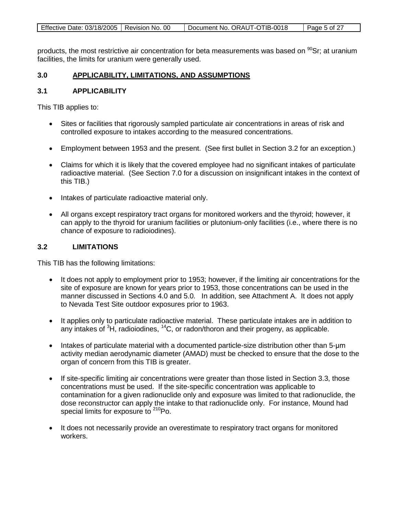|--|

products, the most restrictive air concentration for beta measurements was based on <sup>90</sup>Sr; at uranium facilities, the limits for uranium were generally used.

#### **3.0 APPLICABILITY, LIMITATIONS, AND ASSUMPTIONS**

### **3.1 APPLICABILITY**

This TIB applies to:

- Sites or facilities that rigorously sampled particulate air concentrations in areas of risk and controlled exposure to intakes according to the measured concentrations.
- Employment between 1953 and the present. (See first bullet in Section 3.2 for an exception.)
- Claims for which it is likely that the covered employee had no significant intakes of particulate radioactive material. (See Section 7.0 for a discussion on insignificant intakes in the context of this TIB.)
- Intakes of particulate radioactive material only.
- All organs except respiratory tract organs for monitored workers and the thyroid; however, it can apply to the thyroid for uranium facilities or plutonium-only facilities (i.e., where there is no chance of exposure to radioiodines).

### **3.2 LIMITATIONS**

This TIB has the following limitations:

- It does not apply to employment prior to 1953; however, if the limiting air concentrations for the site of exposure are known for years prior to 1953, those concentrations can be used in the manner discussed in Sections 4.0 and 5.0. In addition, see Attachment A. It does not apply to Nevada Test Site outdoor exposures prior to 1963.
- It applies only to particulate radioactive material. These particulate intakes are in addition to any intakes of <sup>3</sup>H, radioiodines, <sup>14</sup>C, or radon/thoron and their progeny, as applicable.
- Intakes of particulate material with a documented particle-size distribution other than 5-μm activity median aerodynamic diameter (AMAD) must be checked to ensure that the dose to the organ of concern from this TIB is greater.
- If site-specific limiting air concentrations were greater than those listed in Section 3.3, those concentrations must be used. If the site-specific concentration was applicable to contamination for a given radionuclide only and exposure was limited to that radionuclide, the dose reconstructor can apply the intake to that radionuclide only. For instance, Mound had special limits for exposure to <sup>210</sup>Po.
- It does not necessarily provide an overestimate to respiratory tract organs for monitored workers.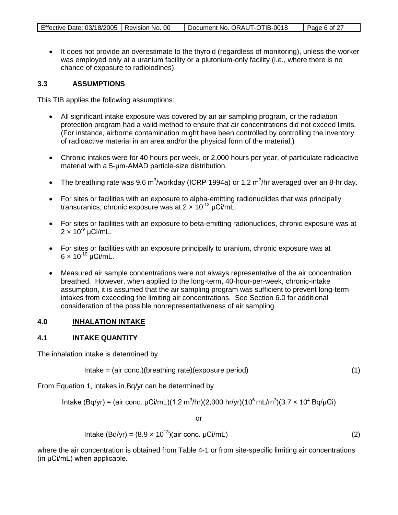• It does not provide an overestimate to the thyroid (regardless of monitoring), unless the worker was employed only at a uranium facility or a plutonium-only facility (i.e., where there is no chance of exposure to radioiodines).

# **3.3 ASSUMPTIONS**

This TIB applies the following assumptions:

- All significant intake exposure was covered by an air sampling program, or the radiation protection program had a valid method to ensure that air concentrations did not exceed limits. (For instance, airborne contamination might have been controlled by controlling the inventory of radioactive material in an area and/or the physical form of the material.)
- Chronic intakes were for 40 hours per week, or 2,000 hours per year, of particulate radioactive material with a 5-μm-AMAD particle-size distribution.
- The breathing rate was 9.6 m<sup>3</sup>/workday (ICRP 1994a) or 1.2 m<sup>3</sup>/hr averaged over an 8-hr day.
- For sites or facilities with an exposure to alpha-emitting radionuclides that was principally transuranics, chronic exposure was at  $2 \times 10^{-12}$  µCi/mL.
- For sites or facilities with an exposure to beta-emitting radionuclides, chronic exposure was at  $2 \times 10^{-9}$  µCi/mL.
- For sites or facilities with an exposure principally to uranium, chronic exposure was at  $6 \times 10^{-10}$  µCi/mL.
- Measured air sample concentrations were not always representative of the air concentration breathed. However, when applied to the long-term, 40-hour-per-week, chronic-intake assumption, it is assumed that the air sampling program was sufficient to prevent long-term intakes from exceeding the limiting air concentrations. See Section 6.0 for additional consideration of the possible nonrepresentativeness of air sampling.

#### **4.0 INHALATION INTAKE**

# **4.1 INTAKE QUANTITY**

The inhalation intake is determined by

Intake = (air conc.)(breathing rate)(exposure period) (1)

From Equation 1, intakes in Bq/yr can be determined by

Intake (Bq/yr) = (air conc. μCi/mL)(1.2 m<sup>3</sup> /hr)(2,000 hr/yr)(106 mL/m<sup>3</sup> )(3.7 × 104 Bq/μCi)

or

$$
Intake (Bq/yr) = (8.9 \times 10^{13})(air conc. µCi/mL)
$$
\n(2)

where the air concentration is obtained from Table 4-1 or from site-specific limiting air concentrations (in μCi/mL) when applicable.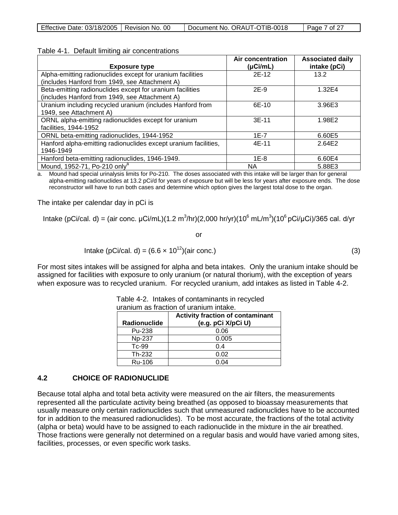| Effective Date: 03/18/2005   Revision No. 00 |  | Document No. ORAUT-OTIB-0018 | Page 7 of 27 |
|----------------------------------------------|--|------------------------------|--------------|
|----------------------------------------------|--|------------------------------|--------------|

| Table 4-1. Default limiting air concentrations |  |
|------------------------------------------------|--|
|------------------------------------------------|--|

| <b>Exposure type</b>                                            | <b>Air concentration</b><br>$(\mu$ Ci/mL) | <b>Associated daily</b><br>intake (pCi) |
|-----------------------------------------------------------------|-------------------------------------------|-----------------------------------------|
| Alpha-emitting radionuclides except for uranium facilities      | 2E-12                                     | 13.2                                    |
| (includes Hanford from 1949, see Attachment A)                  |                                           |                                         |
| Beta-emitting radionuclides except for uranium facilities       | $2E-9$                                    | 1.32E4                                  |
| (includes Hanford from 1949, see Attachment A)                  |                                           |                                         |
| Uranium including recycled uranium (includes Hanford from       | 6E-10                                     | 3.96E3                                  |
| 1949, see Attachment A)                                         |                                           |                                         |
| ORNL alpha-emitting radionuclides except for uranium            | $3E-11$                                   | 1.98E2                                  |
| facilities, 1944-1952                                           |                                           |                                         |
| ORNL beta-emitting radionuclides, 1944-1952                     | 1E-7                                      | 6.60E5                                  |
| Hanford alpha-emitting radionuclides except uranium facilities, | 4E-11                                     | 2.64E2                                  |
| 1946-1949                                                       |                                           |                                         |
| Hanford beta-emitting radionuclides, 1946-1949.                 | 1E-8                                      | 6.60E4                                  |
| Mound, 1952-71, Po-210 only <sup>a</sup>                        | <b>NA</b>                                 | 5.88E3                                  |

a. Mound had special urinalysis limits for Po-210. The doses associated with this intake will be larger than for general alpha-emitting radionuclides at 13.2 pCi/d for years of exposure but will be less for years after exposure ends. The dose reconstructor will have to run both cases and determine which option gives the largest total dose to the organ.

The intake per calendar day in pCi is

Intake (pCi/cal. d) = (air conc. μCi/mL)(1.2 m<sup>3</sup>/hr)(2,000 hr/yr)(10<sup>6</sup> mL/m<sup>3</sup>)(10<sup>6</sup> pCi/μCi)/365 cal. d/yr

or

$$
Intake (pCi/cal. d) = (6.6 \times 10^{12})(air conc.)
$$
\n(3)

For most sites intakes will be assigned for alpha and beta intakes. Only the uranium intake should be assigned for facilities with exposure to only uranium (or natural thorium), with the exception of years when exposure was to recycled uranium. For recycled uranium, add intakes as listed in Table 4-2.

|              | <b>Activity fraction of contaminant</b> |  |  |
|--------------|-----------------------------------------|--|--|
| Radionuclide | (e.g. pCi X/pCi U)                      |  |  |
| Pu-238       | 0.06                                    |  |  |
| Np-237       | 0.005                                   |  |  |
| Tc-99        | በ 4                                     |  |  |
| Th-232       | 0.02                                    |  |  |
| Ru-106       | 0.04                                    |  |  |

Table 4-2. Intakes of contaminants in recycled uranium as fraction of uranium intake.

### **4.2 CHOICE OF RADIONUCLIDE**

Because total alpha and total beta activity were measured on the air filters, the measurements represented all the particulate activity being breathed (as opposed to bioassay measurements that usually measure only certain radionuclides such that unmeasured radionuclides have to be accounted for in addition to the measured radionuclides). To be most accurate, the fractions of the total activity (alpha or beta) would have to be assigned to each radionuclide in the mixture in the air breathed. Those fractions were generally not determined on a regular basis and would have varied among sites, facilities, processes, or even specific work tasks.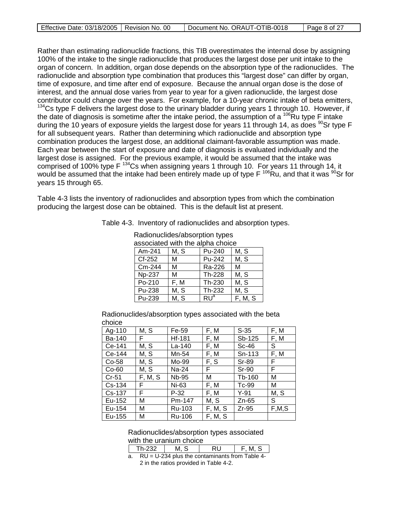| Effective Date: 03/18/2005   Revision No. 00 | Document No. ORAUT-OTIB-0018 | $\vert$ Page 8 of 27 |
|----------------------------------------------|------------------------------|----------------------|

Rather than estimating radionuclide fractions, this TIB overestimates the internal dose by assigning 100% of the intake to the single radionuclide that produces the largest dose per unit intake to the organ of concern. In addition, organ dose depends on the absorption type of the radionuclides. The radionuclide and absorption type combination that produces this "largest dose" can differ by organ, time of exposure, and time after end of exposure. Because the annual organ dose is the dose of interest, and the annual dose varies from year to year for a given radionuclide, the largest dose contributor could change over the years. For example, for a 10-year chronic intake of beta emitters, <sup>134</sup>Cs type F delivers the largest dose to the urinary bladder during years 1 through 10. However, if the date of diagnosis is sometime after the intake period, the assumption of a  $^{106}$ Ru type F intake during the 10 years of exposure yields the largest dose for years 11 through 14, as does <sup>90</sup>Sr type F for all subsequent years. Rather than determining which radionuclide and absorption type combination produces the largest dose, an additional claimant-favorable assumption was made. Each year between the start of exposure and date of diagnosis is evaluated individually and the largest dose is assigned. For the previous example, it would be assumed that the intake was comprised of 100% type F<sup>134</sup>Cs when assigning years 1 through 10. For years 11 through 14, it would be assumed that the intake had been entirely made up of type  $F^{106}Ru$ , and that it was  $90Sr$  for years 15 through 65.

Table 4-3 lists the inventory of radionuclides and absorption types from which the combination producing the largest dose can be obtained. This is the default list at present.

| Radionuclides/absorption types   |      |        |        |  |
|----------------------------------|------|--------|--------|--|
| associated with the alpha choice |      |        |        |  |
| Am-241                           | M. S | Pu-240 | M. S   |  |
| Cf-252                           | м    | Pu-242 | I M. S |  |

Table 4-3. Inventory of radionuclides and absorption types.

Cm-244 M Ra-226 M Np-237 | M | Th-228 | M, S<br>Po-210 | F, M | Th-230 | M, S  $Po-210$  | F, M | Th-230 | M, S <u>Pu-238 M, S Th-232 M, S<br>Pu-239 M. S RU<sup>a</sup> F. M.</u>  $Pu-239$  | M, S | RU<sup>a</sup> | F, M, S

| choice        |         | Radionuclides/absorption types associated with the beta |         |          |       |
|---------------|---------|---------------------------------------------------------|---------|----------|-------|
| Ag-110        | M, S    | Fe-59                                                   | F, M    | $S-35$   | F, M  |
| <b>Ba-140</b> | F       | Hf-181                                                  | F, M    | Sb-125   | F. M  |
| Ce-141        | M, S    | La-140                                                  | F, M    | $Sc-46$  | S     |
| Ce-144        | M, S    | Mn-54                                                   | F, M    | $Sn-113$ | F, M  |
| Co-58         | M, S    | Mo-99                                                   | F, S    | Sr-89    | F     |
| $Co-60$       | M, S    | Na-24                                                   | F.      | $Sr-90$  | F     |
| $Cr-51$       | F, M, S | Nb-95                                                   | М       | Tb-160   | М     |
| $Cs - 134$    | F       | Ni-63                                                   | F, M    | Tc-99    | м     |
| $Cs-137$      | F       | P-32                                                    | F, M    | $Y-91$   | M, S  |
| Eu-152        | м       | Pm-147                                                  | M, S    | Zn-65    | S.    |
| Eu-154        | м       | Ru-103                                                  | F, M, S | $Zr-95$  | F,M,S |
| Eu-155        | M       | Ru-106                                                  | F, M, S |          |       |

Radionuclides/absorption types associated with the uranium choice

Th-232  $M, S$  RU F, M, S a. RU = U-234 plus the contaminants from Table 4-

2 in the ratios provided in Table 4-2.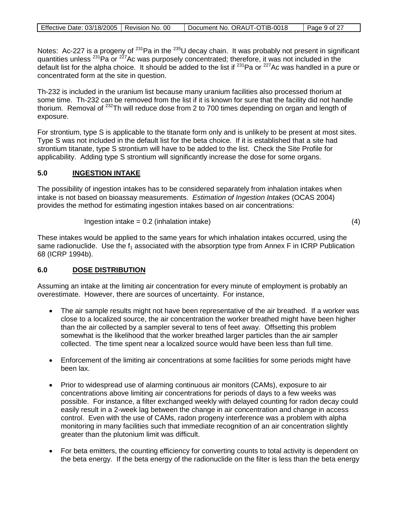Notes: Ac-227 is a progeny of <sup>231</sup>Pa in the <sup>235</sup>U decay chain. It was probably not present in significant quantities unless <sup>231</sup>Pa or <sup>227</sup>Ac was purposely concentrated; therefore, it was not included in the default list for the alpha choice. It should be added to the list if <sup>231</sup>Pa or <sup>227</sup>Ac was handled in a pure or concentrated form at the site in question.

Th-232 is included in the uranium list because many uranium facilities also processed thorium at some time. Th-232 can be removed from the list if it is known for sure that the facility did not handle thorium. Removal of <sup>232</sup>Th will reduce dose from 2 to 700 times depending on organ and length of exposure.

For strontium, type S is applicable to the titanate form only and is unlikely to be present at most sites. Type S was not included in the default list for the beta choice. If it is established that a site had strontium titanate, type S strontium will have to be added to the list. Check the Site Profile for applicability. Adding type S strontium will significantly increase the dose for some organs.

#### **5.0 INGESTION INTAKE**

The possibility of ingestion intakes has to be considered separately from inhalation intakes when intake is not based on bioassay measurements. *Estimation of Ingestion Intakes* (OCAS 2004) provides the method for estimating ingestion intakes based on air concentrations:

$$
Ingestion intake = 0.2 (inhalation intake)
$$
\n
$$
(4)
$$

These intakes would be applied to the same years for which inhalation intakes occurred, using the same radionuclide. Use the  $f_1$  associated with the absorption type from Annex F in ICRP Publication 68 (ICRP 1994b).

#### **6.0 DOSE DISTRIBUTION**

Assuming an intake at the limiting air concentration for every minute of employment is probably an overestimate. However, there are sources of uncertainty. For instance,

- The air sample results might not have been representative of the air breathed. If a worker was close to a localized source, the air concentration the worker breathed might have been higher than the air collected by a sampler several to tens of feet away. Offsetting this problem somewhat is the likelihood that the worker breathed larger particles than the air sampler collected. The time spent near a localized source would have been less than full time.
- Enforcement of the limiting air concentrations at some facilities for some periods might have been lax.
- Prior to widespread use of alarming continuous air monitors (CAMs), exposure to air concentrations above limiting air concentrations for periods of days to a few weeks was possible. For instance, a filter exchanged weekly with delayed counting for radon decay could easily result in a 2-week lag between the change in air concentration and change in access control. Even with the use of CAMs, radon progeny interference was a problem with alpha monitoring in many facilities such that immediate recognition of an air concentration slightly greater than the plutonium limit was difficult.
- For beta emitters, the counting efficiency for converting counts to total activity is dependent on the beta energy. If the beta energy of the radionuclide on the filter is less than the beta energy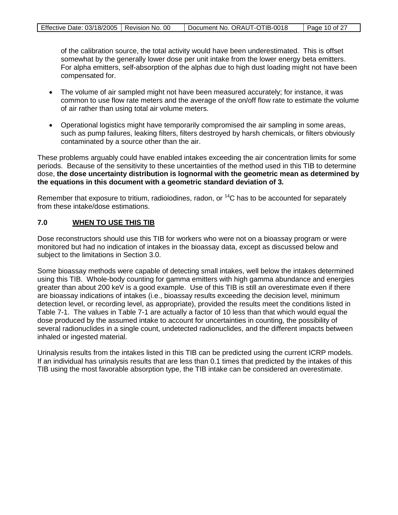| Effective Date: 03/18/2005   Revision No. 00 | Document No. ORAUT-OTIB-0018 | Page 10 of 27 |
|----------------------------------------------|------------------------------|---------------|

of the calibration source, the total activity would have been underestimated. This is offset somewhat by the generally lower dose per unit intake from the lower energy beta emitters. For alpha emitters, self-absorption of the alphas due to high dust loading might not have been compensated for.

- The volume of air sampled might not have been measured accurately; for instance, it was common to use flow rate meters and the average of the on/off flow rate to estimate the volume of air rather than using total air volume meters.
- Operational logistics might have temporarily compromised the air sampling in some areas, such as pump failures, leaking filters, filters destroyed by harsh chemicals, or filters obviously contaminated by a source other than the air.

These problems arguably could have enabled intakes exceeding the air concentration limits for some periods. Because of the sensitivity to these uncertainties of the method used in this TIB to determine dose, **the dose uncertainty distribution is lognormal with the geometric mean as determined by the equations in this document with a geometric standard deviation of 3.**

Remember that exposure to tritium, radioiodines, radon, or  ${}^{14}C$  has to be accounted for separately from these intake/dose estimations.

#### **7.0 WHEN TO USE THIS TIB**

Dose reconstructors should use this TIB for workers who were not on a bioassay program or were monitored but had no indication of intakes in the bioassay data, except as discussed below and subject to the limitations in Section 3.0.

Some bioassay methods were capable of detecting small intakes, well below the intakes determined using this TIB. Whole-body counting for gamma emitters with high gamma abundance and energies greater than about 200 keV is a good example. Use of this TIB is still an overestimate even if there are bioassay indications of intakes (i.e., bioassay results exceeding the decision level, minimum detection level, or recording level, as appropriate), provided the results meet the conditions listed in Table 7-1. The values in Table 7-1 are actually a factor of 10 less than that which would equal the dose produced by the assumed intake to account for uncertainties in counting, the possibility of several radionuclides in a single count, undetected radionuclides, and the different impacts between inhaled or ingested material.

Urinalysis results from the intakes listed in this TIB can be predicted using the current ICRP models. If an individual has urinalysis results that are less than 0.1 times that predicted by the intakes of this TIB using the most favorable absorption type, the TIB intake can be considered an overestimate.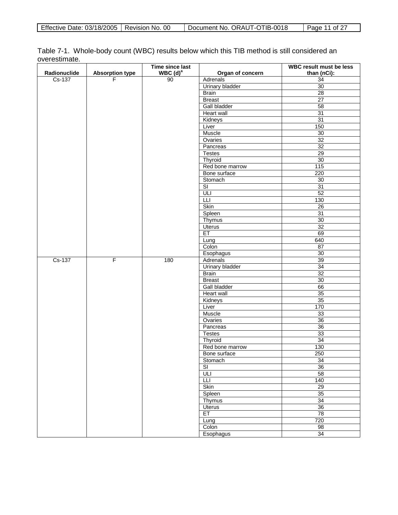Table 7-1. Whole-body count (WBC) results below which this TIB method is still considered an overestimate.

|              |                        | Time since last |                          | <b>WBC result must be less</b> |
|--------------|------------------------|-----------------|--------------------------|--------------------------------|
| Radionuclide | <b>Absorption type</b> | WBC $(d)^a$     | Organ of concern         | than (nCi):                    |
| $Cs-137$     | F                      | 90              | Adrenals                 | 34                             |
|              |                        |                 | Urinary bladder          | $\overline{30}$                |
|              |                        |                 | <b>Brain</b>             | 28                             |
|              |                        |                 | <b>Breast</b>            | $\overline{27}$                |
|              |                        |                 | Gall bladder             | 58                             |
|              |                        |                 | <b>Heart wall</b>        | 31                             |
|              |                        |                 | Kidneys                  | 31                             |
|              |                        |                 | Liver                    | 150                            |
|              |                        |                 | Muscle                   | 30                             |
|              |                        |                 | Ovaries                  | 32                             |
|              |                        |                 | Pancreas                 | $\overline{32}$                |
|              |                        |                 | <b>Testes</b>            | 29                             |
|              |                        |                 | Thyroid                  | 30                             |
|              |                        |                 | Red bone marrow          | 115                            |
|              |                        |                 | Bone surface             | 220                            |
|              |                        |                 | Stomach                  | 30                             |
|              |                        |                 | $\overline{\mathsf{SI}}$ | 31                             |
|              |                        |                 | ULI                      | 52                             |
|              |                        |                 | Ш                        | 130                            |
|              |                        |                 | Skin                     | 26                             |
|              |                        |                 | Spleen                   | 31                             |
|              |                        |                 | Thymus                   | 30                             |
|              |                        |                 | Uterus                   | 32                             |
|              |                        |                 | ET                       | 69                             |
|              |                        |                 | Lung                     | 640                            |
|              |                        |                 | Colon                    | $\overline{87}$                |
|              |                        |                 | Esophagus                | 30                             |
| Cs-137       | F                      | 180             | Adrenals                 | 39                             |
|              |                        |                 | <b>Urinary bladder</b>   | 34                             |
|              |                        |                 | <b>Brain</b>             | $\overline{32}$                |
|              |                        |                 | <b>Breast</b>            | 30                             |
|              |                        |                 | Gall bladder             | 66                             |
|              |                        |                 | <b>Heart wall</b>        | 35                             |
|              |                        |                 | Kidneys                  | 35                             |
|              |                        |                 | Liver                    | 170                            |
|              |                        |                 | Muscle                   | 33                             |
|              |                        |                 | Ovaries                  | 36                             |
|              |                        |                 | Pancreas                 | 36                             |
|              |                        |                 | <b>Testes</b>            | 33                             |
|              |                        |                 | Thyroid                  | 34                             |
|              |                        |                 | Red bone marrow          | 130                            |
|              |                        |                 | Bone surface             | 250                            |
|              |                        |                 | Stomach                  | 34                             |
|              |                        |                 | $\overline{\mathsf{SI}}$ | 36                             |
|              |                        |                 | ULI                      | 58                             |
|              |                        |                 | Ш                        | 140                            |
|              |                        |                 | Skin                     | 29                             |
|              |                        |                 | Spleen                   | 35                             |
|              |                        |                 | Thymus                   | 34                             |
|              |                        |                 | <b>Uterus</b>            | 36                             |
|              |                        |                 | ET                       | 78                             |
|              |                        |                 | Lung                     | 720                            |
|              |                        |                 | Colon                    | 98                             |
|              |                        |                 | Esophagus                | 34                             |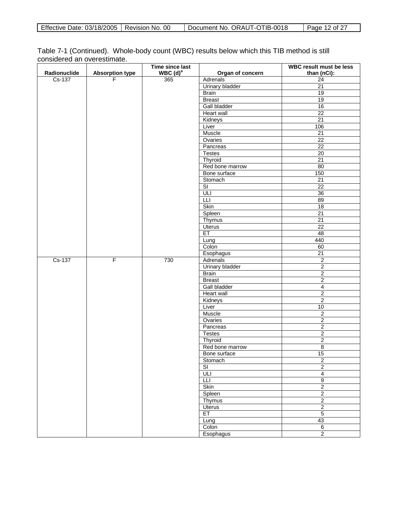| Effective Date: 03/18/2005   Revision No. 00 |  | Document No. ORAUT-OTIB-0018 | Page 12 of 27 |
|----------------------------------------------|--|------------------------------|---------------|
|----------------------------------------------|--|------------------------------|---------------|

| Table 7-1 (Continued). Whole-body count (WBC) results below which this TIB method is still |  |  |  |
|--------------------------------------------------------------------------------------------|--|--|--|
| considered an overestimate.                                                                |  |  |  |

|              |                        | Time since last        |                          | <b>WBC result must be less</b> |
|--------------|------------------------|------------------------|--------------------------|--------------------------------|
| Radionuclide | <b>Absorption type</b> | $WBC$ (d) <sup>a</sup> | Organ of concern         | than (nCi):                    |
| $Cs-137$     | F                      | 365                    | Adrenals                 | $\overline{24}$                |
|              |                        |                        | Urinary bladder          | 21                             |
|              |                        |                        | <b>Brain</b>             | 19                             |
|              |                        |                        | <b>Breast</b>            | 19                             |
|              |                        |                        | Gall bladder             | 16                             |
|              |                        |                        | <b>Heart wall</b>        | $\overline{22}$                |
|              |                        |                        | Kidneys                  | $\overline{21}$                |
|              |                        |                        | Liver                    | 106                            |
|              |                        |                        | Muscle                   | 21                             |
|              |                        |                        | Ovaries                  | $\overline{22}$                |
|              |                        |                        | Pancreas                 | $\overline{22}$                |
|              |                        |                        | <b>Testes</b>            | 20                             |
|              |                        |                        | Thyroid                  | $\overline{21}$                |
|              |                        |                        | Red bone marrow          | 80                             |
|              |                        |                        | Bone surface             | 150                            |
|              |                        |                        | Stomach                  | $\overline{21}$                |
|              |                        |                        | $\overline{\text{SI}}$   | $\overline{22}$                |
|              |                        |                        | ULI                      | $\overline{36}$                |
|              |                        |                        | LLI                      | 89                             |
|              |                        |                        | Skin                     | 18                             |
|              |                        |                        | Spleen                   | 21                             |
|              |                        |                        | Thymus                   | 21                             |
|              |                        |                        | Uterus                   | $\overline{22}$                |
|              |                        |                        | ET                       | 48                             |
|              |                        |                        | Lung                     | 440                            |
|              |                        |                        | Colon                    | 60                             |
|              |                        |                        | Esophagus                | $\overline{21}$                |
| Cs-137       | $\overline{F}$         | 730                    | Adrenals                 | $\overline{\mathbf{c}}$        |
|              |                        |                        | <b>Urinary bladder</b>   | $\overline{2}$                 |
|              |                        |                        | <b>Brain</b>             | $\overline{2}$                 |
|              |                        |                        | <b>Breast</b>            | $\overline{2}$                 |
|              |                        |                        | <b>Gall bladder</b>      | $\overline{4}$                 |
|              |                        |                        | Heart wall               | $\overline{2}$                 |
|              |                        |                        | Kidneys                  | $\overline{2}$                 |
|              |                        |                        | Liver                    | $10\,$                         |
|              |                        |                        | Muscle                   | $\overline{2}$                 |
|              |                        |                        | Ovaries                  | $\overline{2}$                 |
|              |                        |                        | Pancreas                 | $\sqrt{2}$                     |
|              |                        |                        | <b>Testes</b>            | $\overline{2}$                 |
|              |                        |                        | Thyroid                  | $\overline{2}$                 |
|              |                        |                        | Red bone marrow          | $\overline{8}$                 |
|              |                        |                        | Bone surface             | 15                             |
|              |                        |                        | Stomach                  | $\overline{2}$                 |
|              |                        |                        | $\overline{\mathsf{SI}}$ | $\overline{2}$                 |
|              |                        |                        | ULI                      | $\overline{4}$                 |
|              |                        |                        | Ш                        | $\overline{9}$                 |
|              |                        |                        | Skin                     | $\overline{2}$                 |
|              |                        |                        | Spleen                   | $\overline{2}$                 |
|              |                        |                        | Thymus                   | $\overline{2}$                 |
|              |                        |                        | <b>Uterus</b>            | $\overline{2}$                 |
|              |                        |                        | ET                       | $\overline{5}$                 |
|              |                        |                        | Lung                     | 43                             |
|              |                        |                        | Colon                    | $6\,$                          |
|              |                        |                        | Esophagus                | $\overline{2}$                 |
|              |                        |                        |                          |                                |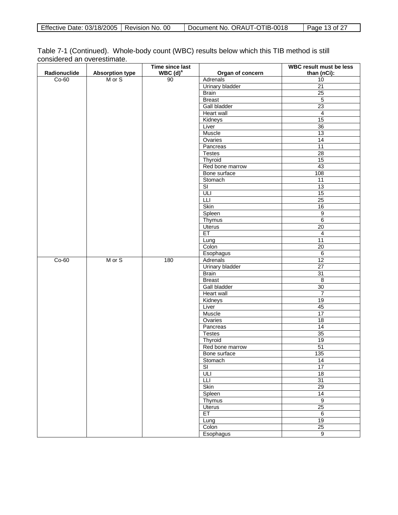| Effective Date: 03/18/2005   Revision No. 00 |  | Document No. ORAUT-OTIB-0018 | Page 13 of 27 |
|----------------------------------------------|--|------------------------------|---------------|
|----------------------------------------------|--|------------------------------|---------------|

| Table 7-1 (Continued). Whole-body count (WBC) results below which this TIB method is still |  |  |  |
|--------------------------------------------------------------------------------------------|--|--|--|
| considered an overestimate.                                                                |  |  |  |

|              |                        | Time since last     |                          | <b>WBC result must be less</b> |
|--------------|------------------------|---------------------|--------------------------|--------------------------------|
| Radionuclide | <b>Absorption type</b> | WBC(d) <sup>a</sup> | Organ of concern         | than (nCi):                    |
| $Co-60$      | M or S                 | 90                  | Adrenals                 | 10                             |
|              |                        |                     | <b>Urinary bladder</b>   | 21                             |
|              |                        |                     | <b>Brain</b>             | 25                             |
|              |                        |                     | <b>Breast</b>            | $\overline{5}$                 |
|              |                        |                     | <b>Gall bladder</b>      | $\overline{23}$                |
|              |                        |                     | <b>Heart wall</b>        | $\overline{4}$                 |
|              |                        |                     | Kidneys                  | 15                             |
|              |                        |                     | Liver                    | $\overline{36}$                |
|              |                        |                     | Muscle                   | 13                             |
|              |                        |                     | Ovaries                  | 14                             |
|              |                        |                     | Pancreas                 | 11                             |
|              |                        |                     | <b>Testes</b>            | 28                             |
|              |                        |                     | Thyroid                  | 15                             |
|              |                        |                     | Red bone marrow          | 43                             |
|              |                        |                     | Bone surface             | 108                            |
|              |                        |                     | Stomach                  | 11                             |
|              |                        |                     | $\overline{\mathsf{SI}}$ | 13                             |
|              |                        |                     | ULI                      | 15                             |
|              |                        |                     | LLI                      | 25                             |
|              |                        |                     | <b>Skin</b>              | $16\,$                         |
|              |                        |                     | Spleen                   | $\boldsymbol{9}$               |
|              |                        |                     | <b>Thymus</b>            | 6                              |
|              |                        |                     | <b>Uterus</b>            | $\overline{20}$                |
|              |                        |                     | ET                       | 4                              |
|              |                        |                     | Lung                     | $\overline{11}$                |
|              |                        |                     | Colon                    | $\overline{20}$                |
|              |                        |                     | Esophagus                | $\overline{6}$                 |
| $Co-60$      | M or S                 | 180                 | Adrenals                 | 12                             |
|              |                        |                     | <b>Urinary bladder</b>   | $\overline{27}$                |
|              |                        |                     | Brain                    | 31                             |
|              |                        |                     | <b>Breast</b>            | 8                              |
|              |                        |                     | Gall bladder             | 30                             |
|              |                        |                     | Heart wall               | $\overline{7}$                 |
|              |                        |                     | Kidneys                  | 19                             |
|              |                        |                     | Liver                    | 45                             |
|              |                        |                     | <b>Muscle</b>            | 17                             |
|              |                        |                     | Ovaries                  | 18                             |
|              |                        |                     | Pancreas                 | 14                             |
|              |                        |                     | <b>Testes</b>            | 35                             |
|              |                        |                     | Thyroid                  | 19                             |
|              |                        |                     | Red bone marrow          | 51                             |
|              |                        |                     | Bone surface             | 135                            |
|              |                        |                     | Stomach                  | 14                             |
|              |                        |                     | $\overline{\mathsf{SI}}$ | 17                             |
|              |                        |                     | ULI                      | 18                             |
|              |                        |                     | Ш                        | 31                             |
|              |                        |                     | Skin                     | 29                             |
|              |                        |                     | Spleen                   | $\overline{14}$                |
|              |                        |                     | Thymus                   | $\overline{9}$                 |
|              |                        |                     | <b>Uterus</b>            | 25                             |
|              |                        |                     | ET                       | $6\overline{6}$                |
|              |                        |                     |                          | 19                             |
|              |                        |                     | Lung                     | 25                             |
|              |                        |                     | Colon<br>Esophagus       | $\overline{9}$                 |
|              |                        |                     |                          |                                |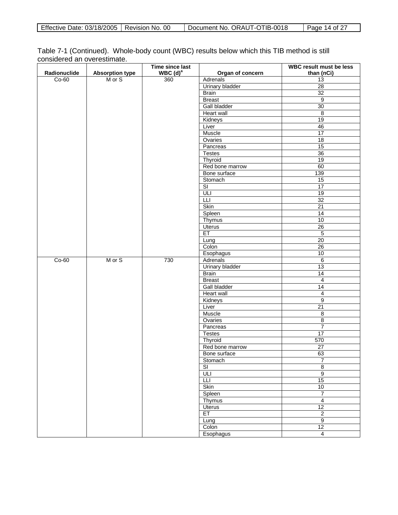| Effective Date: 03/18/2005   Revision No. 00 |  | Document No. ORAUT-OTIB-0018 | Page 14 of 27 |
|----------------------------------------------|--|------------------------------|---------------|
|----------------------------------------------|--|------------------------------|---------------|

| Table 7-1 (Continued). Whole-body count (WBC) results below which this TIB method is still |  |  |  |
|--------------------------------------------------------------------------------------------|--|--|--|
| considered an overestimate.                                                                |  |  |  |

|              |                        | Time since last        |                          | <b>WBC result must be less</b> |
|--------------|------------------------|------------------------|--------------------------|--------------------------------|
| Radionuclide | <b>Absorption type</b> | $WBC$ (d) <sup>a</sup> | Organ of concern         | than (nCi)                     |
| $Co-60$      | M or S                 | 360                    | Adrenals                 | 13                             |
|              |                        |                        | <b>Urinary bladder</b>   | 28                             |
|              |                        |                        | <b>Brain</b>             | 32                             |
|              |                        |                        | <b>Breast</b>            | 9                              |
|              |                        |                        | <b>Gall bladder</b>      | $\overline{30}$                |
|              |                        |                        | <b>Heart wall</b>        | $\overline{\mathbf{8}}$        |
|              |                        |                        | Kidneys                  | 19                             |
|              |                        |                        | Liver                    | 46                             |
|              |                        |                        | Muscle                   | $\overline{17}$                |
|              |                        |                        | Ovaries                  | 18                             |
|              |                        |                        | Pancreas                 | 15                             |
|              |                        |                        | <b>Testes</b>            | 36                             |
|              |                        |                        | Thyroid                  | 19                             |
|              |                        |                        | Red bone marrow          | 60                             |
|              |                        |                        | Bone surface             | 139                            |
|              |                        |                        | Stomach                  | 15                             |
|              |                        |                        | $\overline{\mathsf{SI}}$ | 17                             |
|              |                        |                        | ULI                      | 19                             |
|              |                        |                        | LLI                      | 32                             |
|              |                        |                        | <b>Skin</b>              | $\overline{21}$                |
|              |                        |                        | Spleen                   | 14                             |
|              |                        |                        | <b>Thymus</b>            | 10                             |
|              |                        |                        | <b>Uterus</b>            | 26                             |
|              |                        |                        | ET                       | $\overline{5}$                 |
|              |                        |                        | Lung                     | $\overline{20}$                |
|              |                        |                        | Colon                    | $\overline{26}$                |
|              |                        |                        | Esophagus                | 10                             |
| $Co-60$      | M or S                 | 730                    | Adrenals                 | $\,6\,$                        |
|              |                        |                        | <b>Urinary bladder</b>   | 13                             |
|              |                        |                        | Brain                    | $\overline{14}$                |
|              |                        |                        | <b>Breast</b>            | 4                              |
|              |                        |                        | Gall bladder             | 14                             |
|              |                        |                        | Heart wall               | $\overline{4}$                 |
|              |                        |                        | Kidneys                  | $\overline{9}$                 |
|              |                        |                        | Liver                    | 21                             |
|              |                        |                        | <b>Muscle</b>            | $\overline{8}$                 |
|              |                        |                        | Ovaries                  | $\overline{8}$                 |
|              |                        |                        | Pancreas                 | $\boldsymbol{7}$               |
|              |                        |                        | <b>Testes</b>            | 17                             |
|              |                        |                        | Thyroid                  | 570                            |
|              |                        |                        | Red bone marrow          | $\overline{27}$                |
|              |                        |                        | Bone surface             | 63                             |
|              |                        |                        | Stomach                  | $\overline{7}$                 |
|              |                        |                        | $\overline{\mathsf{SI}}$ | $\overline{8}$                 |
|              |                        |                        | ULI                      | $\overline{9}$                 |
|              |                        |                        | Ш                        | 15                             |
|              |                        |                        | Skin                     | 10                             |
|              |                        |                        | Spleen                   | $\boldsymbol{7}$               |
|              |                        |                        | Thymus                   | $\overline{4}$                 |
|              |                        |                        | <b>Uterus</b>            | 12                             |
|              |                        |                        | ET                       | $\overline{2}$                 |
|              |                        |                        | Lung                     | $\overline{9}$                 |
|              |                        |                        | Colon                    | 12                             |
|              |                        |                        | Esophagus                | $\overline{4}$                 |
|              |                        |                        |                          |                                |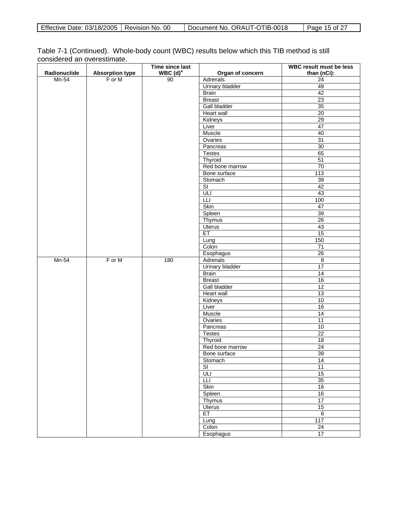| Effective Date: 03/18/2005   Revision No. 00 |  | Document No. ORAUT-OTIB-0018 | Page 15 of $27$ |
|----------------------------------------------|--|------------------------------|-----------------|
|----------------------------------------------|--|------------------------------|-----------------|

| Table 7-1 (Continued). Whole-body count (WBC) results below which this TIB method is still |  |  |  |
|--------------------------------------------------------------------------------------------|--|--|--|
| considered an overestimate.                                                                |  |  |  |

| Radionuclide<br>WBC(d) <sup>a</sup><br><b>Absorption type</b><br>Organ of concern<br>than (nCi):<br>90<br>$Mn-54$<br>F or M<br>$\overline{24}$<br>Adrenals<br>Urinary bladder<br>49<br><b>Brain</b><br>42<br>23<br><b>Breast</b><br><b>Gall bladder</b><br>$\overline{35}$ |  |
|----------------------------------------------------------------------------------------------------------------------------------------------------------------------------------------------------------------------------------------------------------------------------|--|
|                                                                                                                                                                                                                                                                            |  |
|                                                                                                                                                                                                                                                                            |  |
|                                                                                                                                                                                                                                                                            |  |
|                                                                                                                                                                                                                                                                            |  |
|                                                                                                                                                                                                                                                                            |  |
|                                                                                                                                                                                                                                                                            |  |
| <b>Heart wall</b><br>$\overline{20}$                                                                                                                                                                                                                                       |  |
| 29<br>Kidneys                                                                                                                                                                                                                                                              |  |
| Liver<br>47                                                                                                                                                                                                                                                                |  |
| Muscle<br>40                                                                                                                                                                                                                                                               |  |
| Ovaries<br>31                                                                                                                                                                                                                                                              |  |
| 30<br>Pancreas                                                                                                                                                                                                                                                             |  |
| 65<br><b>Testes</b>                                                                                                                                                                                                                                                        |  |
| Thyroid<br>51                                                                                                                                                                                                                                                              |  |
| 70<br>Red bone marrow                                                                                                                                                                                                                                                      |  |
| 113<br>Bone surface                                                                                                                                                                                                                                                        |  |
| Stomach<br>39                                                                                                                                                                                                                                                              |  |
| $\overline{\mathsf{SI}}$<br>42                                                                                                                                                                                                                                             |  |
| ULI<br>43                                                                                                                                                                                                                                                                  |  |
| 100<br>LLI                                                                                                                                                                                                                                                                 |  |
| <b>Skin</b><br>47                                                                                                                                                                                                                                                          |  |
| Spleen<br>39                                                                                                                                                                                                                                                               |  |
| 26<br><b>Thymus</b>                                                                                                                                                                                                                                                        |  |
| <b>Uterus</b><br>43                                                                                                                                                                                                                                                        |  |
| ET<br>15                                                                                                                                                                                                                                                                   |  |
| 150<br>Lung                                                                                                                                                                                                                                                                |  |
| $\overline{71}$<br>Colon                                                                                                                                                                                                                                                   |  |
| $\overline{26}$<br>Esophagus                                                                                                                                                                                                                                               |  |
| $Mn-54$<br>F or M<br>180<br>Adrenals<br>$\,8\,$                                                                                                                                                                                                                            |  |
| 17<br><b>Urinary bladder</b>                                                                                                                                                                                                                                               |  |
| $\overline{14}$<br>Brain                                                                                                                                                                                                                                                   |  |
| <b>Breast</b><br>16                                                                                                                                                                                                                                                        |  |
| 12<br>Gall bladder                                                                                                                                                                                                                                                         |  |
| $\overline{13}$<br>Heart wall                                                                                                                                                                                                                                              |  |
| 10<br>Kidneys                                                                                                                                                                                                                                                              |  |
| Liver<br>16                                                                                                                                                                                                                                                                |  |
| 14<br><b>Muscle</b>                                                                                                                                                                                                                                                        |  |
| 11<br>Ovaries                                                                                                                                                                                                                                                              |  |
| Pancreas<br>10                                                                                                                                                                                                                                                             |  |
| $\overline{22}$<br><b>Testes</b>                                                                                                                                                                                                                                           |  |
| $\overline{18}$<br>Thyroid                                                                                                                                                                                                                                                 |  |
| Red bone marrow<br>$\overline{24}$                                                                                                                                                                                                                                         |  |
| 39<br>Bone surface                                                                                                                                                                                                                                                         |  |
| Stomach<br>14                                                                                                                                                                                                                                                              |  |
| $\overline{\mathsf{SI}}$<br>11                                                                                                                                                                                                                                             |  |
| ULI<br>15                                                                                                                                                                                                                                                                  |  |
| 35<br>Ш                                                                                                                                                                                                                                                                    |  |
| Skin<br>16                                                                                                                                                                                                                                                                 |  |
| Spleen<br>16                                                                                                                                                                                                                                                               |  |
| 17<br>Thymus                                                                                                                                                                                                                                                               |  |
| 15<br><b>Uterus</b>                                                                                                                                                                                                                                                        |  |
| ET<br>$6\overline{6}$                                                                                                                                                                                                                                                      |  |
| 117<br>Lung                                                                                                                                                                                                                                                                |  |
| $\overline{24}$<br>Colon                                                                                                                                                                                                                                                   |  |
| 17<br>Esophagus                                                                                                                                                                                                                                                            |  |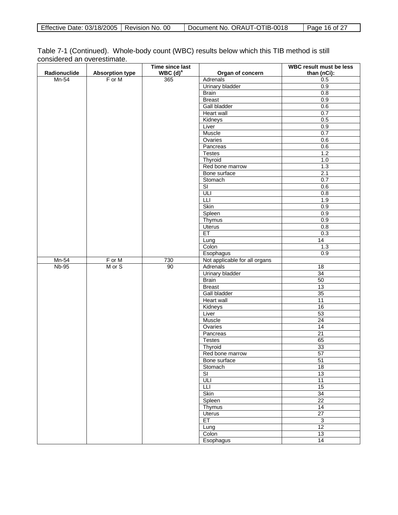| Effective Date: 03/18/2005   Revision No. 00 |  | Document No. ORAUT-OTIB-0018 | Page 16 of 27 |
|----------------------------------------------|--|------------------------------|---------------|
|----------------------------------------------|--|------------------------------|---------------|

| Table 7-1 (Continued). Whole-body count (WBC) results below which this TIB method is still |  |  |  |
|--------------------------------------------------------------------------------------------|--|--|--|
| considered an overestimate.                                                                |  |  |  |

|              |                        | Time since last        |                               | <b>WBC result must be less</b> |
|--------------|------------------------|------------------------|-------------------------------|--------------------------------|
| Radionuclide | <b>Absorption type</b> | $WBC$ (d) <sup>a</sup> | Organ of concern              | than (nCi):                    |
| $Mn-54$      | F or M                 | 365                    | Adrenals                      | 0.5                            |
|              |                        |                        | <b>Urinary bladder</b>        | 0.9                            |
|              |                        |                        | <b>Brain</b>                  | 0.8                            |
|              |                        |                        | <b>Breast</b>                 | 0.9                            |
|              |                        |                        | Gall bladder                  | 0.6                            |
|              |                        |                        | Heart wall                    | 0.7                            |
|              |                        |                        | Kidneys                       | 0.5                            |
|              |                        |                        | Liver                         | 0.9                            |
|              |                        |                        | Muscle                        | 0.7                            |
|              |                        |                        | Ovaries                       | 0.6                            |
|              |                        |                        | Pancreas                      | 0.6                            |
|              |                        |                        | <b>Testes</b>                 | 1.2                            |
|              |                        |                        | Thyroid                       | $1.0$                          |
|              |                        |                        | Red bone marrow               | 1.3                            |
|              |                        |                        | Bone surface                  | 2.1                            |
|              |                        |                        | Stomach                       | 0.7                            |
|              |                        |                        | $\overline{\mathsf{SI}}$      | 0.6                            |
|              |                        |                        |                               | 0.8                            |
|              |                        |                        | Ш                             | 1.9                            |
|              |                        |                        | Skin                          | 0.9                            |
|              |                        |                        | Spleen                        | 0.9                            |
|              |                        |                        | Thymus                        | 0.9                            |
|              |                        |                        | Uterus                        | 0.8                            |
|              |                        |                        | ET                            | 0.3                            |
|              |                        |                        | Lung                          | $\overline{14}$                |
|              |                        |                        | Colon                         | 1.3                            |
|              |                        |                        | Esophagus                     | 0.9                            |
| Mn-54        | F or M                 | 730                    | Not applicable for all organs |                                |
| $Nb-95$      | M or S                 | 90                     | Adrenals                      | $\overline{18}$                |
|              |                        |                        | Urinary bladder               | $\overline{34}$                |
|              |                        |                        | <b>Brain</b>                  | 50                             |
|              |                        |                        | <b>Breast</b>                 | 13                             |
|              |                        |                        | Gall bladder                  | 35                             |
|              |                        |                        | <b>Heart wall</b>             | $\overline{11}$                |
|              |                        |                        | Kidneys                       | 16                             |
|              |                        |                        | Liver                         | 53                             |
|              |                        |                        | Muscle                        | 24                             |
|              |                        |                        | Ovaries                       | 14                             |
|              |                        |                        | Pancreas                      | 21                             |
|              |                        |                        | <b>Testes</b>                 | 65                             |
|              |                        |                        | Thyroid                       | 33                             |
|              |                        |                        | Red bone marrow               | 57                             |
|              |                        |                        | Bone surface                  | 51                             |
|              |                        |                        | Stomach                       | 18                             |
|              |                        |                        | $\overline{\text{SI}}$        | 13                             |
|              |                        |                        | ULI                           | 11                             |
|              |                        |                        | Ш                             | 15                             |
|              |                        |                        | Skin                          | $\overline{34}$                |
|              |                        |                        | Spleen                        | $\overline{22}$                |
|              |                        |                        | <b>Thymus</b>                 | 14                             |
|              |                        |                        | <b>Uterus</b>                 | $\overline{27}$                |
|              |                        |                        | ET                            | 3                              |
|              |                        |                        |                               | 12                             |
|              |                        |                        | Lung<br>Colon                 | 13                             |
|              |                        |                        |                               |                                |
|              |                        |                        | Esophagus                     | 14                             |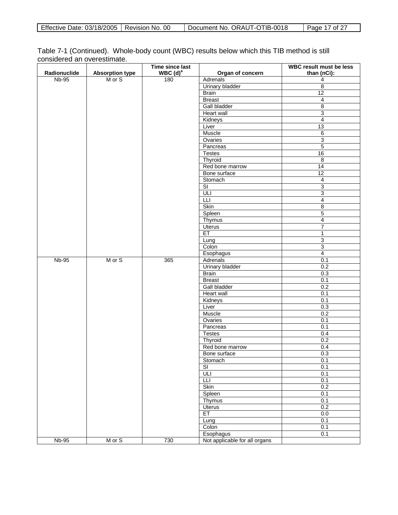| Effective Date: 03/18/2005   Revision No. 00 |  | Document No. ORAUT-OTIB-0018 | Page 17 of 27 |
|----------------------------------------------|--|------------------------------|---------------|
|----------------------------------------------|--|------------------------------|---------------|

| Table 7-1 (Continued). Whole-body count (WBC) results below which this TIB method is still |  |  |  |
|--------------------------------------------------------------------------------------------|--|--|--|
| considered an overestimate.                                                                |  |  |  |

| Radionuclide | <b>Absorption type</b> | Time since last<br>WBC $(d)^a$ | Organ of concern              | WBC result must be less<br>than (nCi): |
|--------------|------------------------|--------------------------------|-------------------------------|----------------------------------------|
| $Nb-95$      | M or S                 | 180                            | Adrenals                      | 4                                      |
|              |                        |                                | Urinary bladder               | $\overline{8}$                         |
|              |                        |                                | <b>Brain</b>                  | 12                                     |
|              |                        |                                | <b>Breast</b>                 | $\overline{4}$                         |
|              |                        |                                | Gall bladder                  | $\overline{8}$                         |
|              |                        |                                | Heart wall                    | $\overline{3}$                         |
|              |                        |                                | Kidneys                       | $\overline{4}$                         |
|              |                        |                                | Liver                         | 13                                     |
|              |                        |                                | Muscle                        | $\overline{6}$                         |
|              |                        |                                | Ovaries                       | $\overline{\omega}$                    |
|              |                        |                                | Pancreas                      | $\overline{5}$                         |
|              |                        |                                | <b>Testes</b>                 | 16                                     |
|              |                        |                                | Thyroid                       | $\,8\,$                                |
|              |                        |                                | Red bone marrow               | $\overline{14}$                        |
|              |                        |                                | Bone surface                  | 12                                     |
|              |                        |                                | Stomach                       | $\overline{4}$                         |
|              |                        |                                | $\overline{\mathsf{SI}}$      | $\overline{3}$                         |
|              |                        |                                |                               | $\overline{3}$                         |
|              |                        |                                | L                             | $\overline{4}$                         |
|              |                        |                                | Skin                          | $\infty$                               |
|              |                        |                                | Spleen                        | $\overline{5}$                         |
|              |                        |                                | Thymus                        | $\overline{4}$                         |
|              |                        |                                | <b>Uterus</b>                 | $\boldsymbol{7}$                       |
|              |                        |                                | ET                            | 1                                      |
|              |                        |                                | Lung                          | $\overline{3}$                         |
|              |                        |                                | Colon                         | $\overline{3}$                         |
|              |                        |                                | Esophagus                     | $\overline{4}$                         |
| <b>Nb-95</b> | M or S                 | 365                            | Adrenals                      | 0.1                                    |
|              |                        |                                | <b>Urinary bladder</b>        | 0.2                                    |
|              |                        |                                | <b>Brain</b>                  | 0.3                                    |
|              |                        |                                | <b>Breast</b>                 | 0.1                                    |
|              |                        |                                | Gall bladder                  | 0.2                                    |
|              |                        |                                | Heart wall                    | 0.1                                    |
|              |                        |                                | Kidneys                       | 0.1                                    |
|              |                        |                                | Liver                         | 0.3                                    |
|              |                        |                                | Muscle                        | 0.2                                    |
|              |                        |                                | Ovaries                       | 0.1                                    |
|              |                        |                                | Pancreas                      | 0.1                                    |
|              |                        |                                | <b>Testes</b>                 | 0.4                                    |
|              |                        |                                | Thyroid                       | 0.2                                    |
|              |                        |                                | Red bone marrow               | 0.4                                    |
|              |                        |                                | Bone surface                  | 0.3                                    |
|              |                        |                                | Stomach                       | 0.1                                    |
|              |                        |                                | $\overline{\mathsf{SI}}$      | 0.1                                    |
|              |                        |                                | ULI                           | 0.1                                    |
|              |                        |                                | Ш                             | 0.1                                    |
|              |                        |                                | Skin                          | 0.2                                    |
|              |                        |                                | Spleen                        | 0.1                                    |
|              |                        |                                | Thymus                        | 0.1                                    |
|              |                        |                                | <b>Uterus</b>                 | 0.2                                    |
|              |                        |                                | ET                            | 0.0                                    |
|              |                        |                                | Lung                          | 0.1                                    |
|              |                        |                                | Colon                         | 0.1                                    |
|              |                        |                                | Esophagus                     | 0.1                                    |
| $Nb-95$      | M or S                 | 730                            | Not applicable for all organs |                                        |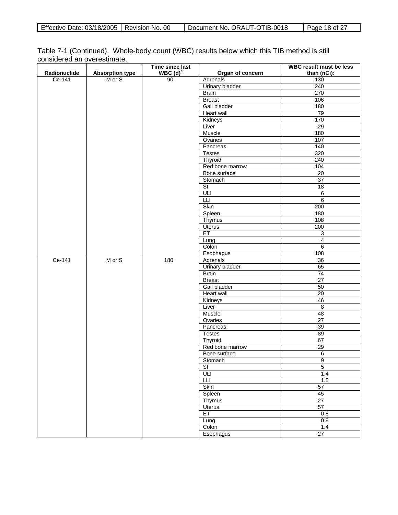| Effective Date: 03/18/2005   Revision No. 00 |  | Document No. ORAUT-OTIB-0018 | Page 18 of 27 |
|----------------------------------------------|--|------------------------------|---------------|
|----------------------------------------------|--|------------------------------|---------------|

| Table 7-1 (Continued). Whole-body count (WBC) results below which this TIB method is still |  |  |  |
|--------------------------------------------------------------------------------------------|--|--|--|
| considered an overestimate.                                                                |  |  |  |

|              |                        | Time since last              |                                 | WBC result must be less |
|--------------|------------------------|------------------------------|---------------------------------|-------------------------|
| Radionuclide | <b>Absorption type</b> | $WBC$ (d) <sup>a</sup><br>90 | Organ of concern                | than (nCi):             |
| Ce-141       | M or S                 |                              | <b>Adrenals</b>                 | 130                     |
|              |                        |                              | Urinary bladder                 | 240                     |
|              |                        |                              | Brain<br><b>Breast</b>          | 270<br>106              |
|              |                        |                              | <b>Gall bladder</b>             | 180                     |
|              |                        |                              | Heart wall                      | 79                      |
|              |                        |                              | Kidneys                         | 170                     |
|              |                        |                              | Liver                           | $\overline{29}$         |
|              |                        |                              | Muscle                          | 180                     |
|              |                        |                              | Ovaries                         | 107                     |
|              |                        |                              | Pancreas                        | 140                     |
|              |                        |                              | <b>Testes</b>                   | 320                     |
|              |                        |                              | Thyroid                         | 240                     |
|              |                        |                              | Red bone marrow                 | 104                     |
|              |                        |                              | Bone surface                    | $\overline{20}$         |
|              |                        |                              | Stomach                         | 37                      |
|              |                        |                              | $\overline{\mathsf{SI}}$        | $\overline{18}$         |
|              |                        |                              | ULI                             | $\overline{6}$          |
|              |                        |                              | $\overline{\mathsf{L}}$         | 6                       |
|              |                        |                              | Skin                            | 200                     |
|              |                        |                              | Spleen                          | 180                     |
|              |                        |                              | <b>Thymus</b>                   | 108                     |
|              |                        |                              | <b>Uterus</b>                   | 200                     |
|              |                        |                              | ET                              | 3                       |
|              |                        |                              | Lung                            | $\overline{4}$          |
|              |                        |                              | Colon                           | 6                       |
|              |                        |                              | Esophagus                       | 108                     |
| Ce-141       | M or S                 | 180                          | Adrenals                        | $\overline{36}$<br>65   |
|              |                        |                              | <b>Urinary bladder</b><br>Brain | 74                      |
|              |                        |                              | <b>Breast</b>                   | $\overline{27}$         |
|              |                        |                              | <b>Gall bladder</b>             | 50                      |
|              |                        |                              | Heart wall                      | $\overline{20}$         |
|              |                        |                              | Kidneys                         | 46                      |
|              |                        |                              | Liver                           | $\overline{8}$          |
|              |                        |                              | Muscle                          | 48                      |
|              |                        |                              | Ovaries                         | $\overline{27}$         |
|              |                        |                              | Pancreas                        | 39                      |
|              |                        |                              | <b>Testes</b>                   | 89                      |
|              |                        |                              | Thyroid                         | 67                      |
|              |                        |                              | Red bone marrow                 | 29                      |
|              |                        |                              | Bone surface                    | $\overline{6}$          |
|              |                        |                              | Stomach                         | $\overline{9}$          |
|              |                        |                              | $\overline{\mathsf{SI}}$        | $\overline{5}$          |
|              |                        |                              | ULI                             | 1.4                     |
|              |                        |                              | Ш                               | 1.5                     |
|              |                        |                              | Skin                            | 57                      |
|              |                        |                              | Spleen                          | 45                      |
|              |                        |                              | Thymus                          | 27<br>57                |
|              |                        |                              | <b>Uterus</b><br>ET             | 0.8                     |
|              |                        |                              | Lung                            | 0.9                     |
|              |                        |                              | Colon                           | 1.4                     |
|              |                        |                              | Esophagus                       | 27                      |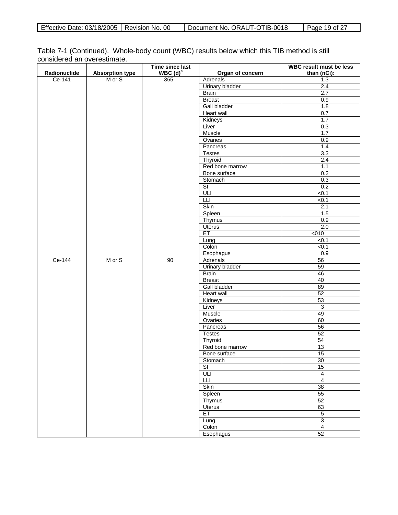| Effective Date: 03/18/2005   Revision No. 00 |  | Document No. ORAUT-OTIB-0018 | Page 19 of 27 |
|----------------------------------------------|--|------------------------------|---------------|
|----------------------------------------------|--|------------------------------|---------------|

| Table 7-1 (Continued). Whole-body count (WBC) results below which this TIB method is still |  |  |  |
|--------------------------------------------------------------------------------------------|--|--|--|
| considered an overestimate.                                                                |  |  |  |

|              |                                  | Time since last |                               | WBC result must be less |
|--------------|----------------------------------|-----------------|-------------------------------|-------------------------|
| Radionuclide | <b>Absorption type</b><br>M or S | WBC $(d)^a$     | Organ of concern              | than (nCi):             |
| Ce-141       |                                  | 365             | Adrenals                      | 1.3                     |
|              |                                  |                 | <b>Urinary bladder</b>        | 2.4                     |
|              |                                  |                 | <b>Brain</b><br><b>Breast</b> | 2.7<br>0.9              |
|              |                                  |                 | <b>Gall bladder</b>           |                         |
|              |                                  |                 |                               | 1.8                     |
|              |                                  |                 | Heart wall                    | 0.7                     |
|              |                                  |                 | Kidneys                       | 1.7                     |
|              |                                  |                 | Liver<br>Muscle               | 0.3<br>1.7              |
|              |                                  |                 | Ovaries                       |                         |
|              |                                  |                 | Pancreas                      | 0.9<br>1.4              |
|              |                                  |                 | <b>Testes</b>                 | 3.3                     |
|              |                                  |                 | Thyroid                       | 2.4                     |
|              |                                  |                 | Red bone marrow               | 1.1                     |
|              |                                  |                 | Bone surface                  | 0.2                     |
|              |                                  |                 | Stomach                       | 0.3                     |
|              |                                  |                 | $\overline{\text{SI}}$        | 0.2                     |
|              |                                  |                 | ULI                           | $\overline{50.1}$       |
|              |                                  |                 | Ш                             | < 0.1                   |
|              |                                  |                 | Skin                          | 2.1                     |
|              |                                  |                 | Spleen                        | 1.5                     |
|              |                                  |                 | Thymus                        | 0.9                     |
|              |                                  |                 | <b>Uterus</b>                 | $\overline{2.0}$        |
|              |                                  |                 | ET                            | 5010                    |
|              |                                  |                 | Lung                          | < 0.1                   |
|              |                                  |                 | Colon                         | < 0.1                   |
|              |                                  |                 | Esophagus                     | 0.9                     |
| Ce-144       | M or S                           | 90              | Adrenals                      | 56                      |
|              |                                  |                 | <b>Urinary bladder</b>        | 59                      |
|              |                                  |                 | <b>Brain</b>                  | 46                      |
|              |                                  |                 | <b>Breast</b>                 | 40                      |
|              |                                  |                 | Gall bladder                  | 89                      |
|              |                                  |                 | Heart wall                    | 52                      |
|              |                                  |                 | Kidneys                       | 53                      |
|              |                                  |                 | Liver                         | $\overline{3}$          |
|              |                                  |                 | Muscle                        | 49                      |
|              |                                  |                 | Ovaries                       | 60                      |
|              |                                  |                 | Pancreas                      | 56                      |
|              |                                  |                 | <b>Testes</b>                 | 52                      |
|              |                                  |                 | Thyroid                       | 54                      |
|              |                                  |                 | Red bone marrow               | 13                      |
|              |                                  |                 | Bone surface                  | 15                      |
|              |                                  |                 | Stomach                       | 30                      |
|              |                                  |                 | $\overline{\mathsf{SI}}$      | 15                      |
|              |                                  |                 | ULI                           | $\overline{4}$          |
|              |                                  |                 | Ш                             | $\overline{4}$          |
|              |                                  |                 | Skin                          | 38                      |
|              |                                  |                 | Spleen                        | 55                      |
|              |                                  |                 | Thymus                        | 52                      |
|              |                                  |                 | <b>Uterus</b>                 | 63                      |
|              |                                  |                 | ET                            | $\overline{5}$          |
|              |                                  |                 | Lung                          | $\overline{3}$          |
|              |                                  |                 | Colon                         | $\overline{4}$          |
|              |                                  |                 | Esophagus                     | 52                      |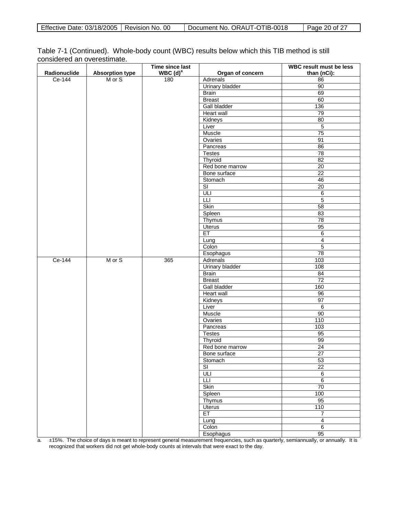| Table 7-1 (Continued). Whole-body count (WBC) results below which this TIB method is still |  |  |  |
|--------------------------------------------------------------------------------------------|--|--|--|
| considered an overestimate.                                                                |  |  |  |

|              |                        | Time since last |                          | <b>WBC result must be less</b> |
|--------------|------------------------|-----------------|--------------------------|--------------------------------|
| Radionuclide | <b>Absorption type</b> | WBC $(d)^a$     | Organ of concern         | than (nCi):                    |
| Ce-144       | M or S                 | 180             | Adrenals                 | 86                             |
|              |                        |                 | Urinary bladder          | 90                             |
|              |                        |                 | <b>Brain</b>             | 69                             |
|              |                        |                 | <b>Breast</b>            | 60                             |
|              |                        |                 | Gall bladder             | 136                            |
|              |                        |                 | <b>Heart wall</b>        | 79                             |
|              |                        |                 | Kidneys                  | 80                             |
|              |                        |                 | Liver                    | $\overline{5}$                 |
|              |                        |                 | Muscle                   | 75                             |
|              |                        |                 | Ovaries                  | 91                             |
|              |                        |                 | Pancreas                 | 86                             |
|              |                        |                 | <b>Testes</b>            | 78                             |
|              |                        |                 | Thyroid                  | 82                             |
|              |                        |                 | Red bone marrow          | 20                             |
|              |                        |                 | Bone surface             | $\overline{22}$                |
|              |                        |                 | Stomach                  | 46                             |
|              |                        |                 | $\overline{\mathsf{S}}$  | 20                             |
|              |                        |                 | ULI                      | $\,6\,$                        |
|              |                        |                 | <b>LLI</b>               | $\overline{5}$                 |
|              |                        |                 | <b>Skin</b>              | 58                             |
|              |                        |                 | Spleen                   | 83                             |
|              |                        |                 | Thymus                   | 78                             |
|              |                        |                 | Uterus                   | 95                             |
|              |                        |                 | ET                       | 6                              |
|              |                        |                 | Lung                     | $\overline{4}$                 |
|              |                        |                 | Colon                    | $\overline{5}$                 |
|              |                        |                 | Esophagus                | 78                             |
| Ce-144       | M or S                 | 365             | Adrenals                 | 103                            |
|              |                        |                 | <b>Urinary bladder</b>   | 108                            |
|              |                        |                 | <b>Brain</b>             | 84                             |
|              |                        |                 | <b>Breast</b>            | 72                             |
|              |                        |                 | <b>Gall bladder</b>      | 160                            |
|              |                        |                 | Heart wall               | 96                             |
|              |                        |                 | Kidneys                  | 97                             |
|              |                        |                 | Liver                    | $\,6\,$                        |
|              |                        |                 | Muscle                   | 90                             |
|              |                        |                 | Ovaries                  | 110                            |
|              |                        |                 | Pancreas                 | 103                            |
|              |                        |                 | <b>Testes</b>            | 95                             |
|              |                        |                 | Thyroid                  | 99                             |
|              |                        |                 | Red bone marrow          | $\overline{24}$                |
|              |                        |                 | Bone surface             | 27                             |
|              |                        |                 | Stomach                  | 53                             |
|              |                        |                 | $\overline{\mathsf{SI}}$ | 22                             |
|              |                        |                 | ULI                      | $\overline{6}$                 |
|              |                        |                 | Ш                        | $6\overline{6}$                |
|              |                        |                 | Skin                     | 70                             |
|              |                        |                 | Spleen                   | 100                            |
|              |                        |                 | Thymus                   | 95                             |
|              |                        |                 | <b>Uterus</b>            | 110                            |
|              |                        |                 | ET                       | $\overline{7}$                 |
|              |                        |                 | Lung                     | $\overline{4}$                 |
|              |                        |                 | Colon                    | $\overline{6}$                 |
|              |                        |                 | Esophagus                | 95                             |

a. ±15%. The choice of days is meant to represent general measurement frequencies, such as quarterly, semiannually, or annually. It is recognized that workers did not get whole-body counts at intervals that were exact to the day.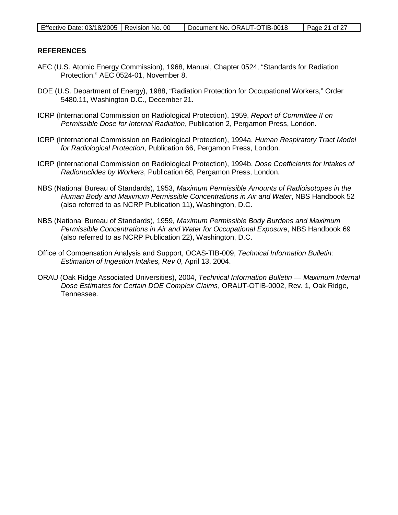### **REFERENCES**

- AEC (U.S. Atomic Energy Commission), 1968, Manual, Chapter 0524, "Standards for Radiation Protection," AEC 0524-01, November 8.
- DOE (U.S. Department of Energy), 1988, "Radiation Protection for Occupational Workers," Order 5480.11, Washington D.C., December 21.
- ICRP (International Commission on Radiological Protection), 1959, *Report of Committee II on Permissible Dose for Internal Radiation*, Publication 2, Pergamon Press, London.
- ICRP (International Commission on Radiological Protection), 1994a, *Human Respiratory Tract Model for Radiological Protection*, Publication 66, Pergamon Press, London.
- ICRP (International Commission on Radiological Protection), 1994b, *Dose Coefficients for Intakes of Radionuclides by Workers*, Publication 68, Pergamon Press, London.
- NBS (National Bureau of Standards), 1953, *Maximum Permissible Amounts of Radioisotopes in the Human Body and Maximum Permissible Concentrations in Air and Water*, NBS Handbook 52 (also referred to as NCRP Publication 11), Washington, D.C.
- NBS (National Bureau of Standards), 1959, *Maximum Permissible Body Burdens and Maximum Permissible Concentrations in Air and Water for Occupational Exposure*, NBS Handbook 69 (also referred to as NCRP Publication 22), Washington, D.C.
- Office of Compensation Analysis and Support, OCAS-TIB-009, *Technical Information Bulletin: Estimation of Ingestion Intakes, Rev 0*, April 13, 2004.
- ORAU (Oak Ridge Associated Universities), 2004, *Technical Information Bulletin — Maximum Internal Dose Estimates for Certain DOE Complex Claims*, ORAUT-OTIB-0002, Rev. 1, Oak Ridge, Tennessee.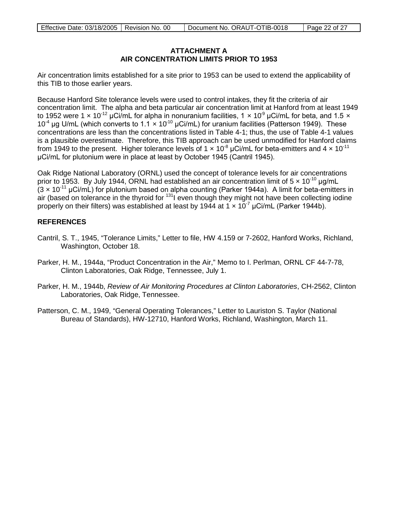### **ATTACHMENT A AIR CONCENTRATION LIMITS PRIOR TO 1953**

Air concentration limits established for a site prior to 1953 can be used to extend the applicability of this TIB to those earlier years.

Because Hanford Site tolerance levels were used to control intakes, they fit the criteria of air concentration limit. The alpha and beta particular air concentration limit at Hanford from at least 1949 to 1952 were 1 x 10<sup>-12</sup> µCi/mL for alpha in nonuranium facilities, 1 x 10<sup>9</sup> µCi/mL for beta, and 1.5 x  $10^{-4}$  μg U/mL (which converts to 1.1 x 10<sup>-10</sup> μCi/mL) for uranium facilities (Patterson 1949). These concentrations are less than the concentrations listed in Table 4-1; thus, the use of Table 4-1 values is a plausible overestimate. Therefore, this TIB approach can be used unmodified for Hanford claims from 1949 to the present. Higher tolerance levels of 1  $\times$  10<sup>-8</sup> µCi/mL for beta-emitters and 4  $\times$  10<sup>-11</sup> μCi/mL for plutonium were in place at least by October 1945 (Cantril 1945).

Oak Ridge National Laboratory (ORNL) used the concept of tolerance levels for air concentrations prior to 1953. By July 1944, ORNL had established an air concentration limit of  $5 \times 10^{-10}$  ug/mL  $(3 \times 10^{-11} \,\mu\text{Ci/mL})$  for plutonium based on alpha counting (Parker 1944a). A limit for beta-emitters in air (based on tolerance in the thyroid for  $131$  even though they might not have been collecting iodine properly on their filters) was established at least by 1944 at 1  $\times$  10<sup>-7</sup> µCi/mL (Parker 1944b).

### **REFERENCES**

- Cantril, S. T., 1945, "Tolerance Limits," Letter to file, HW 4.159 or 7-2602, Hanford Works, Richland, Washington, October 18.
- Parker, H. M., 1944a, "Product Concentration in the Air," Memo to I. Perlman, ORNL CF 44-7-78, Clinton Laboratories, Oak Ridge, Tennessee, July 1.
- Parker, H. M., 1944b, *Review of Air Monitoring Procedures at Clinton Laboratories*, CH-2562, Clinton Laboratories, Oak Ridge, Tennessee.
- Patterson, C. M., 1949, "General Operating Tolerances," Letter to Lauriston S. Taylor (National Bureau of Standards), HW-12710, Hanford Works, Richland, Washington, March 11.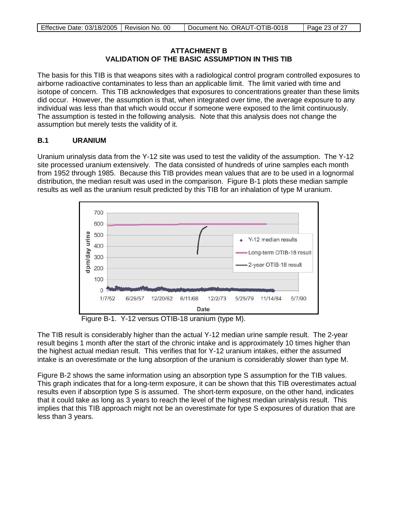## **ATTACHMENT B VALIDATION OF THE BASIC ASSUMPTION IN THIS TIB**

The basis for this TIB is that weapons sites with a radiological control program controlled exposures to airborne radioactive contaminates to less than an applicable limit. The limit varied with time and isotope of concern. This TIB acknowledges that exposures to concentrations greater than these limits did occur. However, the assumption is that, when integrated over time, the average exposure to any individual was less than that which would occur if someone were exposed to the limit continuously. The assumption is tested in the following analysis. Note that this analysis does not change the assumption but merely tests the validity of it.

# **B.1 URANIUM**

Uranium urinalysis data from the Y-12 site was used to test the validity of the assumption. The Y-12 site processed uranium extensively. The data consisted of hundreds of urine samples each month from 1952 through 1985. Because this TIB provides mean values that are to be used in a lognormal distribution, the median result was used in the comparison. Figure B-1 plots these median sample results as well as the uranium result predicted by this TIB for an inhalation of type M uranium.



Figure B-1. Y-12 versus OTIB-18 uranium (type M).

The TIB result is considerably higher than the actual Y-12 median urine sample result. The 2-year result begins 1 month after the start of the chronic intake and is approximately 10 times higher than the highest actual median result. This verifies that for Y-12 uranium intakes, either the assumed intake is an overestimate or the lung absorption of the uranium is considerably slower than type M.

Figure B-2 shows the same information using an absorption type S assumption for the TIB values. This graph indicates that for a long-term exposure, it can be shown that this TIB overestimates actual results even if absorption type S is assumed. The short-term exposure, on the other hand, indicates that it could take as long as 3 years to reach the level of the highest median urinalysis result. This implies that this TIB approach might not be an overestimate for type S exposures of duration that are less than 3 years.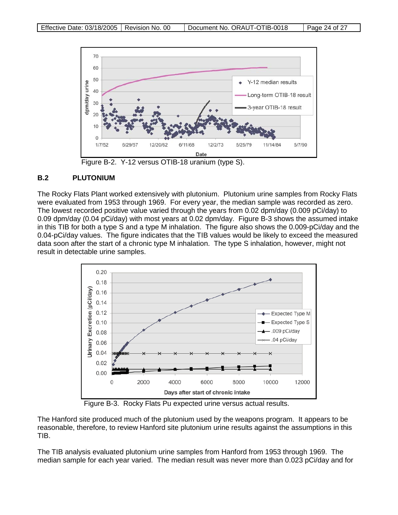

Figure B-2. Y-12 versus OTIB-18 uranium (type S).

### **B.2 PLUTONIUM**

The Rocky Flats Plant worked extensively with plutonium. Plutonium urine samples from Rocky Flats were evaluated from 1953 through 1969. For every year, the median sample was recorded as zero. The lowest recorded positive value varied through the years from 0.02 dpm/day (0.009 pCi/day) to 0.09 dpm/day (0.04 pCi/day) with most years at 0.02 dpm/day. Figure B-3 shows the assumed intake in this TIB for both a type S and a type M inhalation. The figure also shows the 0.009-pCi/day and the 0.04-pCi/day values. The figure indicates that the TIB values would be likely to exceed the measured data soon after the start of a chronic type M inhalation. The type S inhalation, however, might not result in detectable urine samples.



Figure B-3. Rocky Flats Pu expected urine versus actual results.

The Hanford site produced much of the plutonium used by the weapons program. It appears to be reasonable, therefore, to review Hanford site plutonium urine results against the assumptions in this TIB.

The TIB analysis evaluated plutonium urine samples from Hanford from 1953 through 1969. The median sample for each year varied. The median result was never more than 0.023 pCi/day and for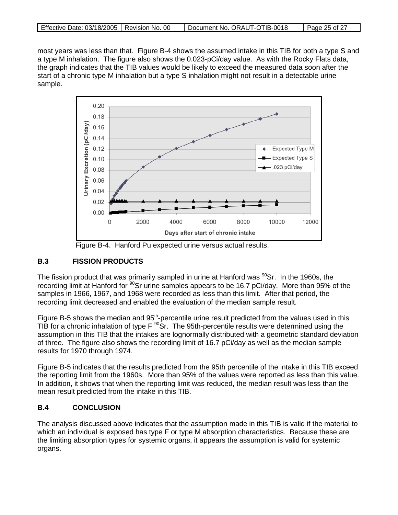| Effective Date: 03/18/2005   Revision No. 00 | Document No. ORAUT-OTIB-0018 | Page 25 of 27 |
|----------------------------------------------|------------------------------|---------------|

most years was less than that. Figure B-4 shows the assumed intake in this TIB for both a type S and a type M inhalation. The figure also shows the 0.023-pCi/day value. As with the Rocky Flats data, the graph indicates that the TIB values would be likely to exceed the measured data soon after the start of a chronic type M inhalation but a type S inhalation might not result in a detectable urine sample.



Figure B-4. Hanford Pu expected urine versus actual results.

### **B.3 FISSION PRODUCTS**

The fission product that was primarily sampled in urine at Hanford was  $^{90}$ Sr. In the 1960s, the recording limit at Hanford for <sup>90</sup>Sr urine samples appears to be 16.7 pCi/day. More than 95% of the samples in 1966, 1967, and 1968 were recorded as less than this limit. After that period, the recording limit decreased and enabled the evaluation of the median sample result.

Figure B-5 shows the median and 95<sup>th</sup>-percentile urine result predicted from the values used in this TIB for a chronic inhalation of type  $F^{90}$ Sr. The 95th-percentile results were determined using the assumption in this TIB that the intakes are lognormally distributed with a geometric standard deviation of three. The figure also shows the recording limit of 16.7 pCi/day as well as the median sample results for 1970 through 1974.

Figure B-5 indicates that the results predicted from the 95th percentile of the intake in this TIB exceed the reporting limit from the 1960s. More than 95% of the values were reported as less than this value. In addition, it shows that when the reporting limit was reduced, the median result was less than the mean result predicted from the intake in this TIB.

# **B.4 CONCLUSION**

The analysis discussed above indicates that the assumption made in this TIB is valid if the material to which an individual is exposed has type F or type M absorption characteristics. Because these are the limiting absorption types for systemic organs, it appears the assumption is valid for systemic organs.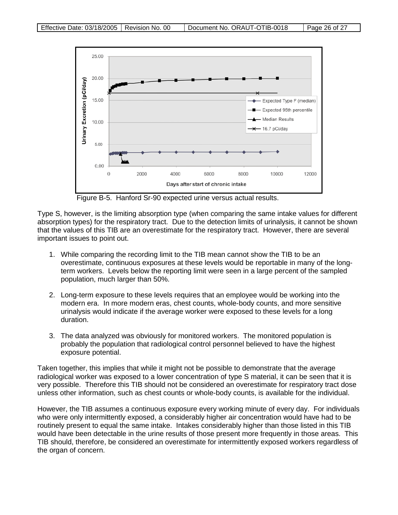

Figure B-5. Hanford Sr-90 expected urine versus actual results.

Type S, however, is the limiting absorption type (when comparing the same intake values for different absorption types) for the respiratory tract. Due to the detection limits of urinalysis, it cannot be shown that the values of this TIB are an overestimate for the respiratory tract. However, there are several important issues to point out.

- 1. While comparing the recording limit to the TIB mean cannot show the TIB to be an overestimate, continuous exposures at these levels would be reportable in many of the longterm workers. Levels below the reporting limit were seen in a large percent of the sampled population, much larger than 50%.
- 2. Long-term exposure to these levels requires that an employee would be working into the modern era. In more modern eras, chest counts, whole-body counts, and more sensitive urinalysis would indicate if the average worker were exposed to these levels for a long duration.
- 3. The data analyzed was obviously for monitored workers. The monitored population is probably the population that radiological control personnel believed to have the highest exposure potential.

Taken together, this implies that while it might not be possible to demonstrate that the average radiological worker was exposed to a lower concentration of type S material, it can be seen that it is very possible. Therefore this TIB should not be considered an overestimate for respiratory tract dose unless other information, such as chest counts or whole-body counts, is available for the individual.

However, the TIB assumes a continuous exposure every working minute of every day. For individuals who were only intermittently exposed, a considerably higher air concentration would have had to be routinely present to equal the same intake. Intakes considerably higher than those listed in this TIB would have been detectable in the urine results of those present more frequently in those areas. This TIB should, therefore, be considered an overestimate for intermittently exposed workers regardless of the organ of concern.